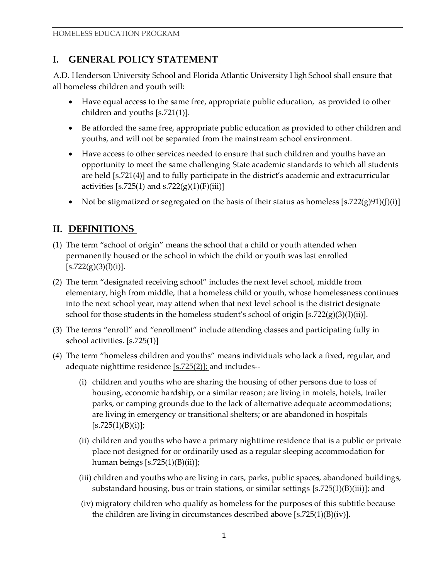# **I. GENERAL POLICY STATEMENT**

A.D. Henderson University School and Florida Atlantic University High School shall ensure that all homeless children and youth will:

- Have equal access to the same free, appropriate public education, as provided to other children and youths [s.721(1)].
- Be afforded the same free, appropriate public education as provided to other children and youths, and will not be separated from the mainstream school environment.
- Have access to other services needed to ensure that such children and youths have an opportunity to meet the same challenging State academic standards to which all students are held [s.721(4)] and to fully participate in the district's academic and extracurricular activities [s.725(1) and s.722(g)(1)(F)(iii)]
- Not be stigmatized or segregated on the basis of their status as homeless  $[s.722(g)91)(J)(i)]$

## **II. DEFINITIONS**

- (1) The term "school of origin" means the school that a child or youth attended when permanently housed or the school in which the child or youth was last enrolled  $[s.722(g)(3)(l)(i)].$
- (2) The term "designated receiving school" includes the next level school, middle from elementary, high from middle, that a homeless child or youth, whose homelessness continues into the next school year, may attend when that next level school is the district designate school for those students in the homeless student's school of origin  $[s.722(g)(3)(I)(ii)].$
- (3) The terms "enroll" and "enrollment" include attending classes and participating fully in school activities. [s.725(1)]
- (4) The term "homeless children and youths" means individuals who lack a fixed, regular, and adequate nighttime residence  $[s.725(2)]$ ; and includes--
	- (i) children and youths who are sharing the housing of other persons due to loss of housing, economic hardship, or a similar reason; are living in motels, hotels, trailer parks, or camping grounds due to the lack of alternative adequate accommodations; are living in emergency or transitional shelters; or are abandoned in hospitals  $[s.725(1)(B)(i)];$
	- (ii) children and youths who have a primary nighttime residence that is a public or private place not designed for or ordinarily used as a regular sleeping accommodation for human beings  $[s.725(1)(B)(ii)]$ ;
	- (iii) children and youths who are living in cars, parks, public spaces, abandoned buildings, substandard housing, bus or train stations, or similar settings [s.725(1)(B)(iii)]; and
	- (iv) migratory children who qualify as homeless for the purposes of this subtitle because the children are living in circumstances described above [s.725(1)(B)(iv)].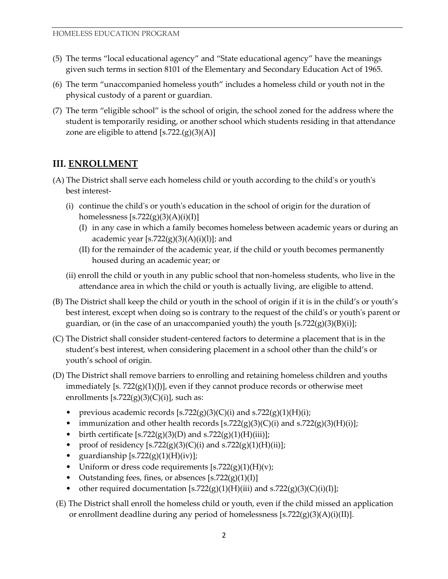- (5) The terms "local educational agency" and "State educational agency" have the meanings given such terms in section 8101 of the Elementary and Secondary Education Act of 1965.
- (6) The term "unaccompanied homeless youth" includes a homeless child or youth not in the physical custody of a parent or guardian.
- (7) The term "eligible school" is the school of origin, the school zoned for the address where the student is temporarily residing, or another school which students residing in that attendance zone are eligible to attend  $[s.722(g)(3)(A)]$

## **III. ENROLLMENT**

- (A) The District shall serve each homeless child or youth according to the child's or youth's best interest-
	- (i) continue the child's or youth's education in the school of origin for the duration of homelessness  $[s.722(g)(3)(A)(i)(I)]$ 
		- (I) in any case in which a family becomes homeless between academic years or during an academic year  $[s.722(g)(3)(A)(i)(l)]$ ; and
		- (II) for the remainder of the academic year, if the child or youth becomes permanently housed during an academic year; or
	- (ii) enroll the child or youth in any public school that non-homeless students, who live in the attendance area in which the child or youth is actually living, are eligible to attend.
- (B) The District shall keep the child or youth in the school of origin if it is in the child's or youth's best interest, except when doing so is contrary to the request of the child's or youth's parent or guardian, or (in the case of an unaccompanied youth) the youth  $[s.722(g)(3)(B)(i)]$ ;
- (C) The District shall consider student-centered factors to determine a placement that is in the student's best interest, when considering placement in a school other than the child's or youth's school of origin.
- (D) The District shall remove barriers to enrolling and retaining homeless children and youths immediately [s.  $722(g)(1)(J)$ ], even if they cannot produce records or otherwise meet enrollments  $[s.722(g)(3)(C)(i)]$ , such as:
	- previous academic records  $[s.722(g)(3)(C)(i)$  and  $s.722(g)(1)(H)(i);$
	- immunization and other health records  $[s.722(g)(3)(C)(i)$  and  $s.722(g)(3)(H)(i)]$ ;
	- birth certificate  $[s.722(g)(3)(D)$  and  $s.722(g)(1)(H)(iii)$ ;
	- proof of residency  $[s.722(g)(3)(C)(i)$  and  $s.722(g)(1)(H)(ii)]$ ;
	- guardianship  $[s.722(g)(1)(H)(iv)]$ ;
	- Uniform or dress code requirements  $[s.722(g)(1)(H)(v);$
	- Outstanding fees, fines, or absences [s.722(g)(1)(I)]
	- other required documentation [s.722(g)(1)(H)(iii) and s.722(g)(3)(C)(i)(I)];
- (E) The District shall enroll the homeless child or youth, even if the child missed an application or enrollment deadline during any period of homelessness [s.722(g)(3)(A)(i)(II)].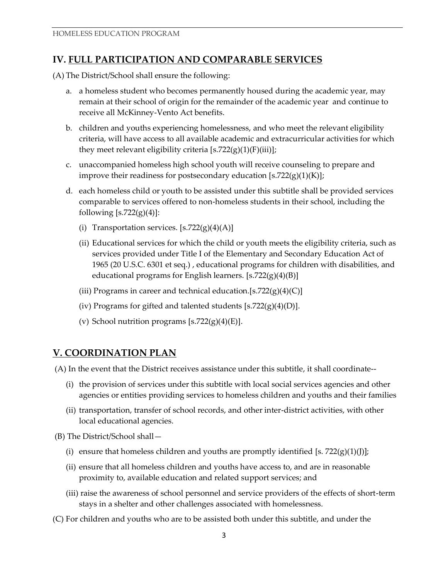#### **IV. FULL PARTICIPATION AND COMPARABLE SERVICES**

(A) The District/School shall ensure the following:

- a. a homeless student who becomes permanently housed during the academic year, may remain at their school of origin for the remainder of the academic year and continue to receive all McKinney-Vento Act benefits.
- b. children and youths experiencing homelessness, and who meet the relevant eligibility criteria, will have access to all available academic and extracurricular activities for which they meet relevant eligibility criteria  $[s.722(g)(1)(F)(iii)]$ ;
- c. unaccompanied homeless high school youth will receive counseling to prepare and improve their readiness for postsecondary education  $[s.722(g)(1)(K)]$ ;
- d. each homeless child or youth to be assisted under this subtitle shall be provided services comparable to services offered to non-homeless students in their school, including the following  $[s.722(g)(4)]$ :
	- (i) Transportation services.  $[s.722(g)(4)(A)]$
	- (ii) Educational services for which the child or youth meets the eligibility criteria, such as services provided under Title I of the Elementary and Secondary Education Act of 1965 (20 U.S.C. 6301 et seq.) , educational programs for children with disabilities, and educational programs for English learners. [s.722(g)(4)(B)]
	- (iii) Programs in career and technical education.[s.722 $(g)(4)(C)$ ]
	- (iv) Programs for gifted and talented students  $[s.722(g)(4)(D)].$
	- (v) School nutrition programs  $[s.722(g)(4)(E)].$

#### **V. COORDINATION PLAN**

(A) In the event that the District receives assistance under this subtitle, it shall coordinate--

- (i) the provision of services under this subtitle with local social services agencies and other agencies or entities providing services to homeless children and youths and their families
- (ii) transportation, transfer of school records, and other inter-district activities, with other local educational agencies.

(B) The District/School shall—

- (i) ensure that homeless children and youths are promptly identified [s.  $722(g)(1)(J)$ ];
- (ii) ensure that all homeless children and youths have access to, and are in reasonable proximity to, available education and related support services; and
- (iii) raise the awareness of school personnel and service providers of the effects of short-term stays in a shelter and other challenges associated with homelessness.
- (C) For children and youths who are to be assisted both under this subtitle, and under the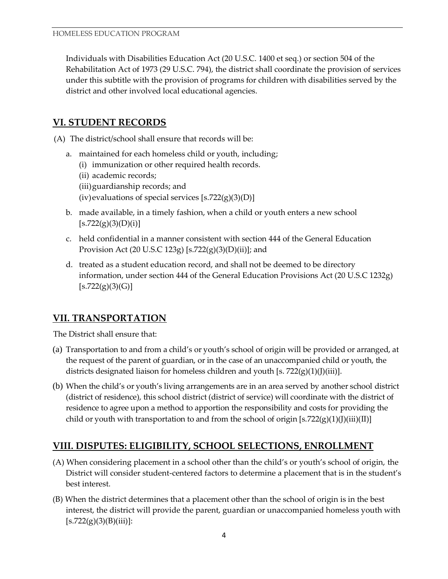Individuals with Disabilities Education Act (20 U.S.C. 1400 et seq.) or section 504 of the Rehabilitation Act of 1973 (29 U.S.C. 794), the district shall coordinate the provision of services under this subtitle with the provision of programs for children with disabilities served by the district and other involved local educational agencies.

## **VI. STUDENT RECORDS**

(A) The district/school shall ensure that records will be:

- a. maintained for each homeless child or youth, including;
	- (i) immunization or other required health records.
	- (ii) academic records;
	- (iii)guardianship records; and
	- (iv)evaluations of special services  $[s.722(g)(3)(D)]$
- b. made available, in a timely fashion, when a child or youth enters a new school  $[s.722(g)(3)(D)(i)]$
- c. held confidential in a manner consistent with section 444 of the General Education Provision Act (20 U.S.C 123g) [s.722(g)(3)(D)(ii)]; and
- d. treated as a student education record, and shall not be deemed to be directory information, under section 444 of the General Education Provisions Act (20 U.S.C 1232g)  $[s.722(g)(3)(G)]$

## **VII. TRANSPORTATION**

The District shall ensure that:

- (a) Transportation to and from a child's or youth's school of origin will be provided or arranged, at the request of the parent of guardian, or in the case of an unaccompanied child or youth, the districts designated liaison for homeless children and youth [s.  $722(g)(1)(J)(iii)$ ].
- (b) When the child's or youth's living arrangements are in an area served by another school district (district of residence), this school district (district of service) will coordinate with the district of residence to agree upon a method to apportion the responsibility and costs for providing the child or youth with transportation to and from the school of origin  $[s.722(g)(1)(J)(iii)(II)]$

## **VIII. DISPUTES: ELIGIBILITY, SCHOOL SELECTIONS, ENROLLMENT**

- (A) When considering placement in a school other than the child's or youth's school of origin, the District will consider student-centered factors to determine a placement that is in the student's best interest.
- (B) When the district determines that a placement other than the school of origin is in the best interest, the district will provide the parent, guardian or unaccompanied homeless youth with  $[s.722(g)(3)(B)(iii)]$ :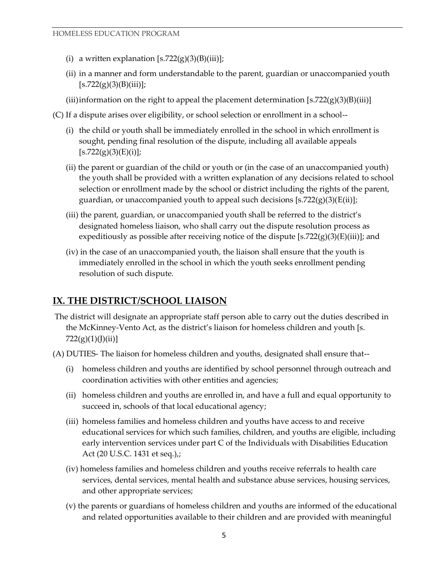- (i) a written explanation  $[s.722(g)(3)(B)(iii)]$ ;
- (ii) in a manner and form understandable to the parent, guardian or unaccompanied youth  $[s.722(g)(3)(B)(iii)];$
- (iii) information on the right to appeal the placement determination  $[s.722(g)(3)(B)(iii)]$
- (C) If a dispute arises over eligibility, or school selection or enrollment in a school--
	- (i) the child or youth shall be immediately enrolled in the school in which enrollment is sought, pending final resolution of the dispute, including all available appeals  $[s.722(g)(3)(E)(i)];$
	- (ii) the parent or guardian of the child or youth or (in the case of an unaccompanied youth) the youth shall be provided with a written explanation of any decisions related to school selection or enrollment made by the school or district including the rights of the parent, guardian, or unaccompanied youth to appeal such decisions  $[s.722(g)(3)(E(ii))$ ;
	- (iii) the parent, guardian, or unaccompanied youth shall be referred to the district's designated homeless liaison, who shall carry out the dispute resolution process as expeditiously as possible after receiving notice of the dispute  $[s.722(g)(3)(E)(iii)]$ ; and
	- (iv) in the case of an unaccompanied youth, the liaison shall ensure that the youth is immediately enrolled in the school in which the youth seeks enrollment pending resolution of such dispute.

#### **IX. THE DISTRICT/SCHOOL LIAISON**

- The district will designate an appropriate staff person able to carry out the duties described in the McKinney-Vento Act, as the district's liaison for homeless children and youth [s. 722(g)(1)(J)(ii)]
- (A) DUTIES- The liaison for homeless children and youths, designated shall ensure that--
	- (i) homeless children and youths are identified by school personnel through outreach and coordination activities with other entities and agencies;
	- (ii) homeless children and youths are enrolled in, and have a full and equal opportunity to succeed in, schools of that local educational agency;
	- (iii) homeless families and homeless children and youths have access to and receive educational services for which such families, children, and youths are eligible, including early intervention services under part C of the Individuals with Disabilities Education Act (20 U.S.C. 1431 et seq.),;
	- (iv) homeless families and homeless children and youths receive referrals to health care services, dental services, mental health and substance abuse services, housing services, and other appropriate services;
	- (v) the parents or guardians of homeless children and youths are informed of the educational and related opportunities available to their children and are provided with meaningful